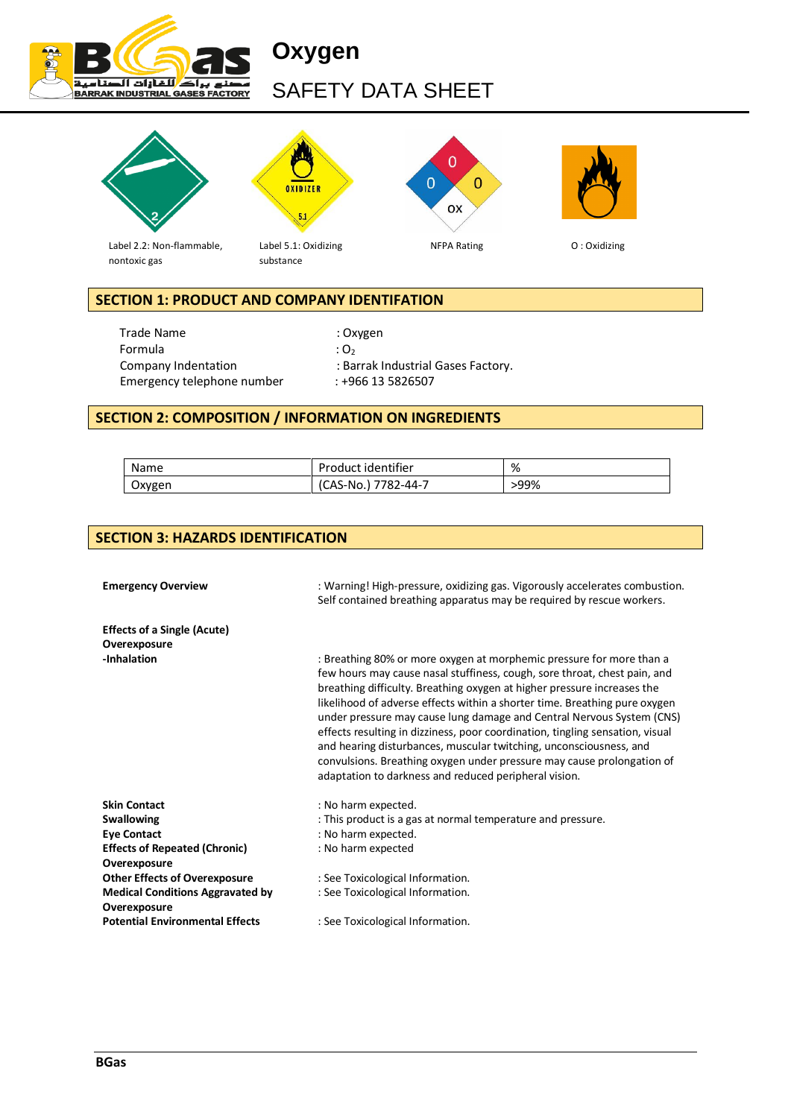

# **Oxygen** SAFETY DATA SHEET



# **SECTION 1: PRODUCT AND COMPANY IDENTIFATION**

Trade Name  $\qquad \qquad$ : Oxygen Formula  $: O<sub>2</sub>$ Company Indentation : Barrak Industrial Gases Factory. Emergency telephone number : +966 13 5826507

## **SECTION 2: COMPOSITION / INFORMATION ON INGREDIENTS**

| Name   | Product identifier       | %    |
|--------|--------------------------|------|
| Oxygen | $(CAS-No.)$<br>7782-44-7 | -99% |

## **SECTION 3: HAZARDS IDENTIFICATION**

| <b>Emergency Overview</b>                                                                                                                                                                                                                                           | : Warning! High-pressure, oxidizing gas. Vigorously accelerates combustion.<br>Self contained breathing apparatus may be required by rescue workers.                                                                                                                                                                                                                                                                                                                                                                                                                                                                                                                          |
|---------------------------------------------------------------------------------------------------------------------------------------------------------------------------------------------------------------------------------------------------------------------|-------------------------------------------------------------------------------------------------------------------------------------------------------------------------------------------------------------------------------------------------------------------------------------------------------------------------------------------------------------------------------------------------------------------------------------------------------------------------------------------------------------------------------------------------------------------------------------------------------------------------------------------------------------------------------|
| <b>Effects of a Single (Acute)</b><br>Overexposure<br>-Inhalation                                                                                                                                                                                                   | : Breathing 80% or more oxygen at morphemic pressure for more than a<br>few hours may cause nasal stuffiness, cough, sore throat, chest pain, and<br>breathing difficulty. Breathing oxygen at higher pressure increases the<br>likelihood of adverse effects within a shorter time. Breathing pure oxygen<br>under pressure may cause lung damage and Central Nervous System (CNS)<br>effects resulting in dizziness, poor coordination, tingling sensation, visual<br>and hearing disturbances, muscular twitching, unconsciousness, and<br>convulsions. Breathing oxygen under pressure may cause prolongation of<br>adaptation to darkness and reduced peripheral vision. |
| <b>Skin Contact</b><br><b>Swallowing</b><br><b>Eye Contact</b><br><b>Effects of Repeated (Chronic)</b><br>Overexposure<br><b>Other Effects of Overexposure</b><br><b>Medical Conditions Aggravated by</b><br>Overexposure<br><b>Potential Environmental Effects</b> | : No harm expected.<br>: This product is a gas at normal temperature and pressure.<br>: No harm expected.<br>: No harm expected<br>: See Toxicological Information.<br>: See Toxicological Information.<br>: See Toxicological Information.                                                                                                                                                                                                                                                                                                                                                                                                                                   |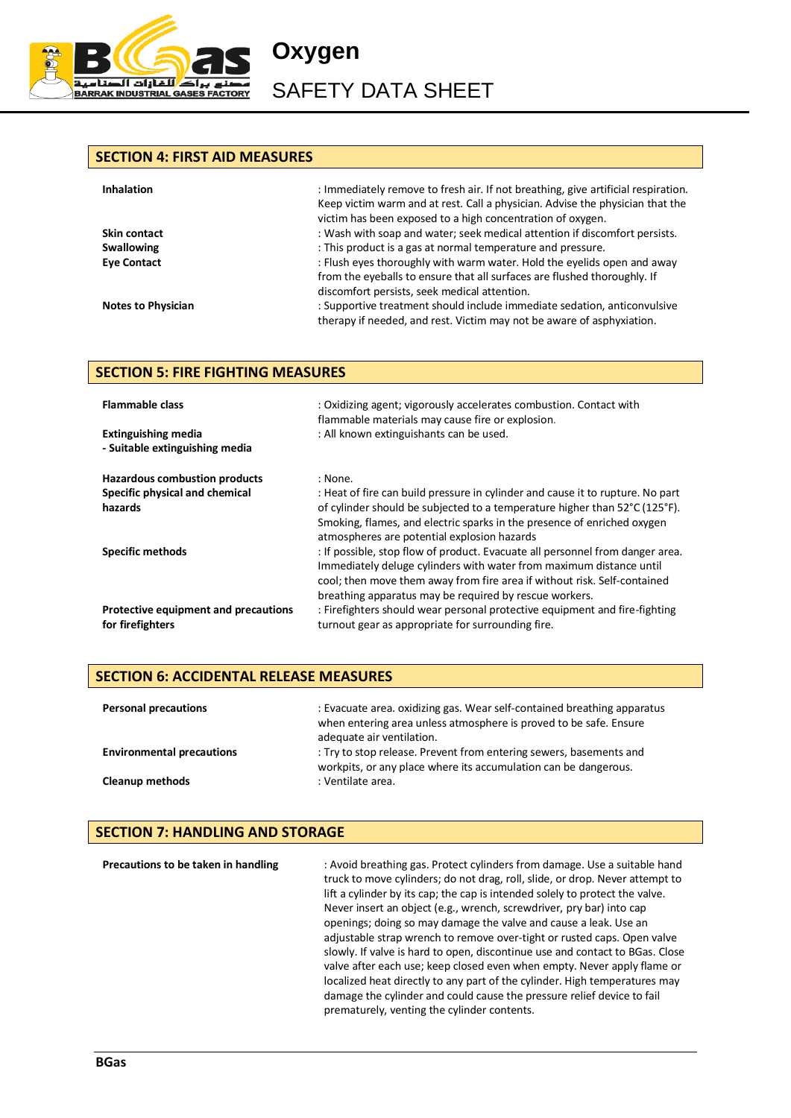

SAFETY DATA SHEET

**Oxygen**

## **SECTION 4: FIRST AID MEASURES**

| <b>Inhalation</b>         | : Immediately remove to fresh air. If not breathing, give artificial respiration.<br>Keep victim warm and at rest. Call a physician. Advise the physician that the<br>victim has been exposed to a high concentration of oxygen. |
|---------------------------|----------------------------------------------------------------------------------------------------------------------------------------------------------------------------------------------------------------------------------|
| <b>Skin contact</b>       | : Wash with soap and water; seek medical attention if discomfort persists.                                                                                                                                                       |
| <b>Swallowing</b>         | : This product is a gas at normal temperature and pressure.                                                                                                                                                                      |
| <b>Eye Contact</b>        | : Flush eyes thoroughly with warm water. Hold the eyelids open and away<br>from the eyeballs to ensure that all surfaces are flushed thoroughly. If<br>discomfort persists, seek medical attention.                              |
| <b>Notes to Physician</b> | : Supportive treatment should include immediate sedation, anticonvulsive<br>therapy if needed, and rest. Victim may not be aware of asphyxiation.                                                                                |

| <b>SECTION 5: FIRE FIGHTING MEASURES</b> |  |
|------------------------------------------|--|
|                                          |  |

| <b>Flammable class</b><br><b>Extinguishing media</b>     | : Oxidizing agent; vigorously accelerates combustion. Contact with<br>flammable materials may cause fire or explosion.<br>: All known extinguishants can be used.                                                                                                                          |
|----------------------------------------------------------|--------------------------------------------------------------------------------------------------------------------------------------------------------------------------------------------------------------------------------------------------------------------------------------------|
| - Suitable extinguishing media                           |                                                                                                                                                                                                                                                                                            |
| <b>Hazardous combustion products</b>                     | : None.                                                                                                                                                                                                                                                                                    |
| Specific physical and chemical                           | : Heat of fire can build pressure in cylinder and cause it to rupture. No part                                                                                                                                                                                                             |
| hazards                                                  | of cylinder should be subjected to a temperature higher than $52^{\circ}C(125^{\circ}F)$ .<br>Smoking, flames, and electric sparks in the presence of enriched oxygen<br>atmospheres are potential explosion hazards                                                                       |
| <b>Specific methods</b>                                  | : If possible, stop flow of product. Evacuate all personnel from danger area.<br>Immediately deluge cylinders with water from maximum distance until<br>cool; then move them away from fire area if without risk. Self-contained<br>breathing apparatus may be required by rescue workers. |
| Protective equipment and precautions<br>for firefighters | : Firefighters should wear personal protective equipment and fire-fighting<br>turnout gear as appropriate for surrounding fire.                                                                                                                                                            |

#### **SECTION 6: ACCIDENTAL RELEASE MEASURES**

| <b>Personal precautions</b>      | : Evacuate area, oxidizing gas. Wear self-contained breathing apparatus<br>when entering area unless atmosphere is proved to be safe. Ensure<br>adequate air ventilation. |
|----------------------------------|---------------------------------------------------------------------------------------------------------------------------------------------------------------------------|
| <b>Environmental precautions</b> | : Try to stop release. Prevent from entering sewers, basements and<br>workpits, or any place where its accumulation can be dangerous.                                     |
| <b>Cleanup methods</b>           | : Ventilate area.                                                                                                                                                         |

## **SECTION 7: HANDLING AND STORAGE**

| truck to move cylinders; do not drag, roll, slide, or drop. Never attempt to<br>lift a cylinder by its cap; the cap is intended solely to protect the valve.<br>Never insert an object (e.g., wrench, screwdriver, pry bar) into cap<br>openings; doing so may damage the valve and cause a leak. Use an<br>adjustable strap wrench to remove over-tight or rusted caps. Open valve<br>slowly. If valve is hard to open, discontinue use and contact to BGas. Close<br>valve after each use; keep closed even when empty. Never apply flame or<br>localized heat directly to any part of the cylinder. High temperatures may<br>damage the cylinder and could cause the pressure relief device to fail<br>prematurely, venting the cylinder contents. |
|-------------------------------------------------------------------------------------------------------------------------------------------------------------------------------------------------------------------------------------------------------------------------------------------------------------------------------------------------------------------------------------------------------------------------------------------------------------------------------------------------------------------------------------------------------------------------------------------------------------------------------------------------------------------------------------------------------------------------------------------------------|
|-------------------------------------------------------------------------------------------------------------------------------------------------------------------------------------------------------------------------------------------------------------------------------------------------------------------------------------------------------------------------------------------------------------------------------------------------------------------------------------------------------------------------------------------------------------------------------------------------------------------------------------------------------------------------------------------------------------------------------------------------------|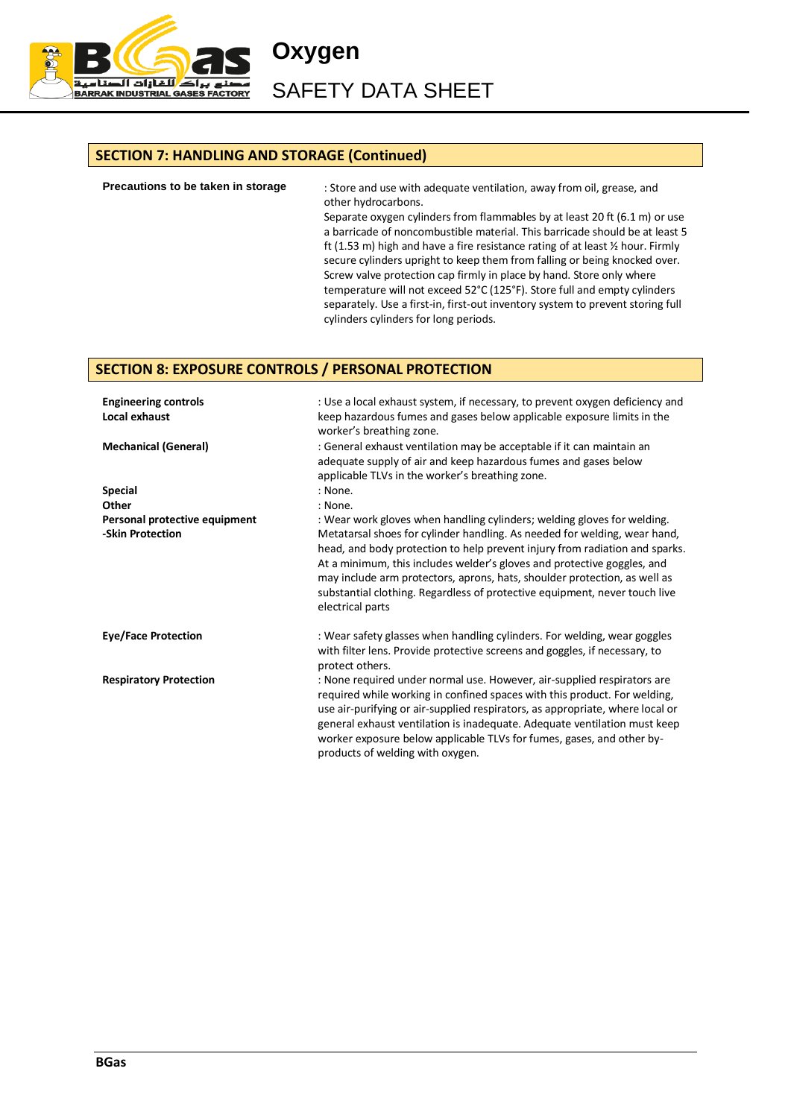

**Oxygen** SAFETY DATA SHEET

### **SECTION 7: HANDLING AND STORAGE (Continued)**

Precautions to be taken in storage : Store and use with adequate ventilation, away from oil, grease, and other hydrocarbons. Separate oxygen cylinders from flammables by at least 20 ft (6.1 m) or use a barricade of noncombustible material. This barricade should be at least 5 ft (1.53 m) high and have a fire resistance rating of at least ½ hour. Firmly secure cylinders upright to keep them from falling or being knocked over. Screw valve protection cap firmly in place by hand. Store only where temperature will not exceed 52°C (125°F). Store full and empty cylinders separately. Use a first-in, first-out inventory system to prevent storing full cylinders cylinders for long periods.

#### **SECTION 8: EXPOSURE CONTROLS / PERSONAL PROTECTION**

| <b>Engineering controls</b>                       | : Use a local exhaust system, if necessary, to prevent oxygen deficiency and                                                                                                                                                                                                                                                                                                                                                                                                                  |
|---------------------------------------------------|-----------------------------------------------------------------------------------------------------------------------------------------------------------------------------------------------------------------------------------------------------------------------------------------------------------------------------------------------------------------------------------------------------------------------------------------------------------------------------------------------|
| Local exhaust                                     | keep hazardous fumes and gases below applicable exposure limits in the<br>worker's breathing zone.                                                                                                                                                                                                                                                                                                                                                                                            |
| <b>Mechanical (General)</b>                       | : General exhaust ventilation may be acceptable if it can maintain an<br>adequate supply of air and keep hazardous fumes and gases below<br>applicable TLVs in the worker's breathing zone.                                                                                                                                                                                                                                                                                                   |
| <b>Special</b>                                    | : None.                                                                                                                                                                                                                                                                                                                                                                                                                                                                                       |
| Other                                             | : None.                                                                                                                                                                                                                                                                                                                                                                                                                                                                                       |
| Personal protective equipment<br>-Skin Protection | : Wear work gloves when handling cylinders; welding gloves for welding.<br>Metatarsal shoes for cylinder handling. As needed for welding, wear hand,<br>head, and body protection to help prevent injury from radiation and sparks.<br>At a minimum, this includes welder's gloves and protective goggles, and<br>may include arm protectors, aprons, hats, shoulder protection, as well as<br>substantial clothing. Regardless of protective equipment, never touch live<br>electrical parts |
| <b>Eye/Face Protection</b>                        | : Wear safety glasses when handling cylinders. For welding, wear goggles<br>with filter lens. Provide protective screens and goggles, if necessary, to<br>protect others.                                                                                                                                                                                                                                                                                                                     |
| <b>Respiratory Protection</b>                     | : None required under normal use. However, air-supplied respirators are<br>required while working in confined spaces with this product. For welding,<br>use air-purifying or air-supplied respirators, as appropriate, where local or<br>general exhaust ventilation is inadequate. Adequate ventilation must keep<br>worker exposure below applicable TLVs for fumes, gases, and other by-<br>products of welding with oxygen.                                                               |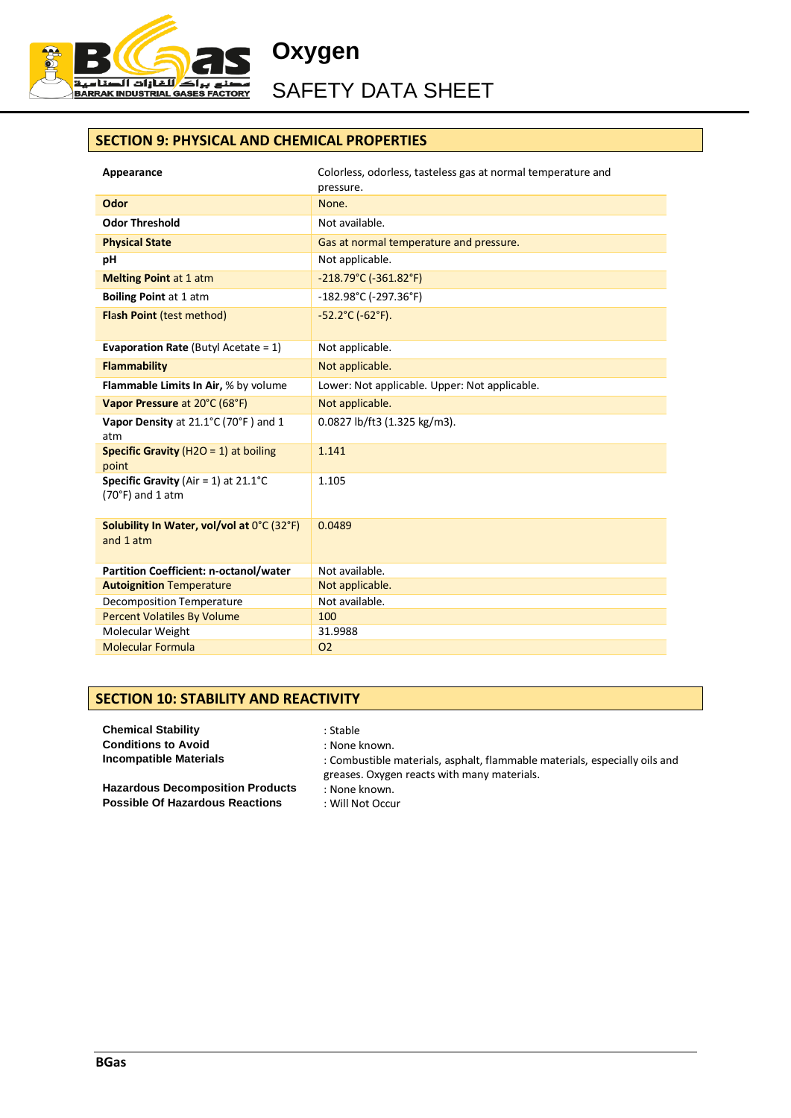

**Oxygen**

SAFETY DATA SHEET

# **SECTION 9: PHYSICAL AND CHEMICAL PROPERTIES**

| Appearance                                                         | Colorless, odorless, tasteless gas at normal temperature and<br>pressure. |
|--------------------------------------------------------------------|---------------------------------------------------------------------------|
| <b>Odor</b>                                                        | None.                                                                     |
| <b>Odor Threshold</b>                                              | Not available.                                                            |
| <b>Physical State</b>                                              | Gas at normal temperature and pressure.                                   |
| pH                                                                 | Not applicable.                                                           |
| <b>Melting Point at 1 atm</b>                                      | $-218.79^{\circ}$ C (-361.82°F)                                           |
| <b>Boiling Point at 1 atm</b>                                      | $-182.98^{\circ}$ C (-297.36°F)                                           |
| <b>Flash Point (test method)</b>                                   | $-52.2^{\circ}$ C ( $-62^{\circ}$ F).                                     |
|                                                                    |                                                                           |
| <b>Evaporation Rate (Butyl Acetate = 1)</b>                        | Not applicable.                                                           |
| <b>Flammability</b>                                                | Not applicable.                                                           |
| Flammable Limits In Air, % by volume                               | Lower: Not applicable. Upper: Not applicable.                             |
| Vapor Pressure at 20°C (68°F)                                      | Not applicable.                                                           |
| Vapor Density at 21.1°C (70°F) and 1<br>atm                        | 0.0827 lb/ft3 (1.325 kg/m3).                                              |
| <b>Specific Gravity</b> (H2O = 1) at boiling<br>point              | 1.141                                                                     |
| Specific Gravity (Air = 1) at $21.1^{\circ}$ C<br>(70°F) and 1 atm | 1.105                                                                     |
| Solubility In Water, vol/vol at 0°C (32°F)<br>and 1 atm            | 0.0489                                                                    |
| <b>Partition Coefficient: n-octanol/water</b>                      | Not available.                                                            |
| <b>Autoignition Temperature</b>                                    | Not applicable.                                                           |
| <b>Decomposition Temperature</b>                                   | Not available.                                                            |
| <b>Percent Volatiles By Volume</b>                                 | 100                                                                       |
| Molecular Weight                                                   | 31.9988                                                                   |
| <b>Molecular Formula</b>                                           | <b>O2</b>                                                                 |

## **SECTION 10: STABILITY AND REACTIVITY**

| <b>Chemical Stability</b><br><b>Conditions to Avoid</b><br><b>Incompatible Materials</b> | : Stable<br>: None known.<br>: Combustible materials, asphalt, flammable materials, especially oils and<br>greases. Oxygen reacts with many materials. |
|------------------------------------------------------------------------------------------|--------------------------------------------------------------------------------------------------------------------------------------------------------|
| <b>Hazardous Decomposition Products</b>                                                  | : None known.                                                                                                                                          |
| <b>Possible Of Hazardous Reactions</b>                                                   | : Will Not Occur                                                                                                                                       |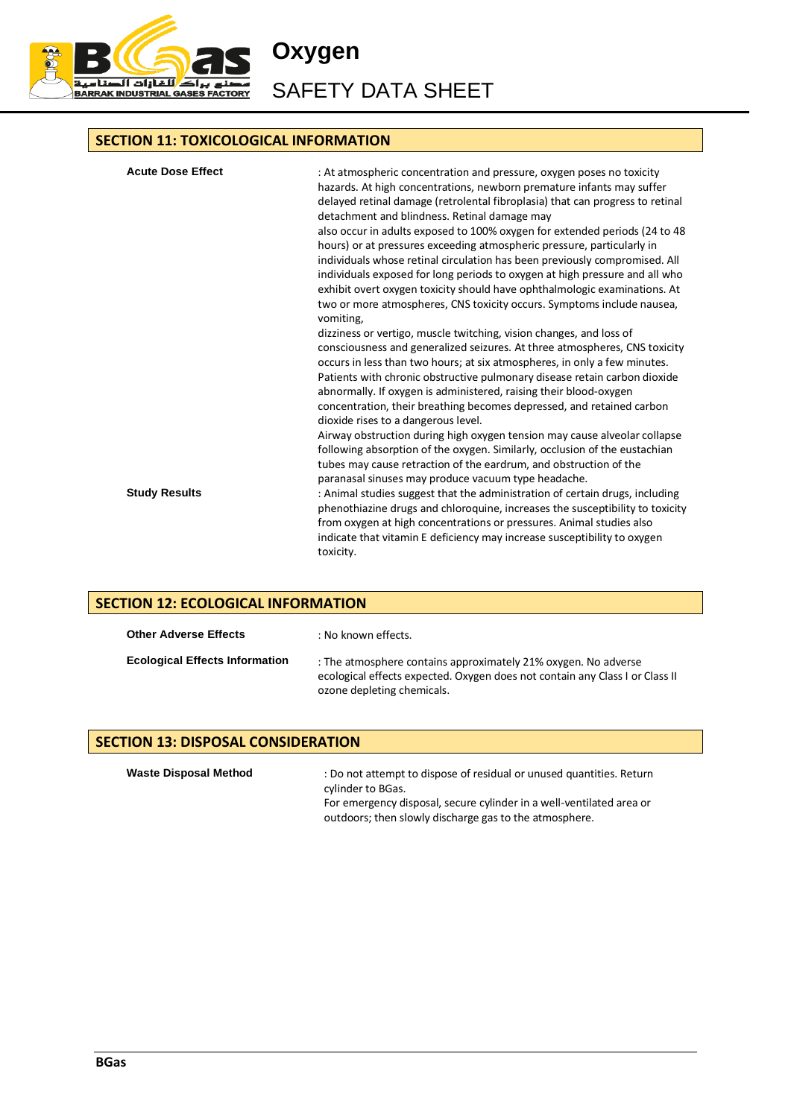

SAFETY DATA SHEET

**Oxygen**

# **SECTION 11: TOXICOLOGICAL INFORMATION**

| <b>Acute Dose Effect</b> | : At atmospheric concentration and pressure, oxygen poses no toxicity<br>hazards. At high concentrations, newborn premature infants may suffer<br>delayed retinal damage (retrolental fibroplasia) that can progress to retinal<br>detachment and blindness. Retinal damage may<br>also occur in adults exposed to 100% oxygen for extended periods (24 to 48<br>hours) or at pressures exceeding atmospheric pressure, particularly in<br>individuals whose retinal circulation has been previously compromised. All<br>individuals exposed for long periods to oxygen at high pressure and all who<br>exhibit overt oxygen toxicity should have ophthalmologic examinations. At<br>two or more atmospheres, CNS toxicity occurs. Symptoms include nausea,<br>vomiting,<br>dizziness or vertigo, muscle twitching, vision changes, and loss of<br>consciousness and generalized seizures. At three atmospheres, CNS toxicity<br>occurs in less than two hours; at six atmospheres, in only a few minutes.<br>Patients with chronic obstructive pulmonary disease retain carbon dioxide<br>abnormally. If oxygen is administered, raising their blood-oxygen<br>concentration, their breathing becomes depressed, and retained carbon<br>dioxide rises to a dangerous level.<br>Airway obstruction during high oxygen tension may cause alveolar collapse<br>following absorption of the oxygen. Similarly, occlusion of the eustachian<br>tubes may cause retraction of the eardrum, and obstruction of the |
|--------------------------|--------------------------------------------------------------------------------------------------------------------------------------------------------------------------------------------------------------------------------------------------------------------------------------------------------------------------------------------------------------------------------------------------------------------------------------------------------------------------------------------------------------------------------------------------------------------------------------------------------------------------------------------------------------------------------------------------------------------------------------------------------------------------------------------------------------------------------------------------------------------------------------------------------------------------------------------------------------------------------------------------------------------------------------------------------------------------------------------------------------------------------------------------------------------------------------------------------------------------------------------------------------------------------------------------------------------------------------------------------------------------------------------------------------------------------------------------------------------------------------------------------------|
| <b>Study Results</b>     | paranasal sinuses may produce vacuum type headache.<br>: Animal studies suggest that the administration of certain drugs, including<br>phenothiazine drugs and chloroquine, increases the susceptibility to toxicity<br>from oxygen at high concentrations or pressures. Animal studies also<br>indicate that vitamin E deficiency may increase susceptibility to oxygen<br>toxicity.                                                                                                                                                                                                                                                                                                                                                                                                                                                                                                                                                                                                                                                                                                                                                                                                                                                                                                                                                                                                                                                                                                                        |

| <b>SECTION 12: ECOLOGICAL INFORMATION</b> |                                                                                                                                                                              |
|-------------------------------------------|------------------------------------------------------------------------------------------------------------------------------------------------------------------------------|
| <b>Other Adverse Effects</b>              | : No known effects.                                                                                                                                                          |
| <b>Ecological Effects Information</b>     | : The atmosphere contains approximately 21% oxygen. No adverse<br>ecological effects expected. Oxygen does not contain any Class I or Class II<br>ozone depleting chemicals. |

# **SECTION 13: DISPOSAL CONSIDERATION**

| <b>Waste Disposal Method</b> | : Do not attempt to dispose of residual or unused quantities. Return<br>cylinder to BGas.                                      |
|------------------------------|--------------------------------------------------------------------------------------------------------------------------------|
|                              | For emergency disposal, secure cylinder in a well-ventilated area or<br>outdoors; then slowly discharge gas to the atmosphere. |